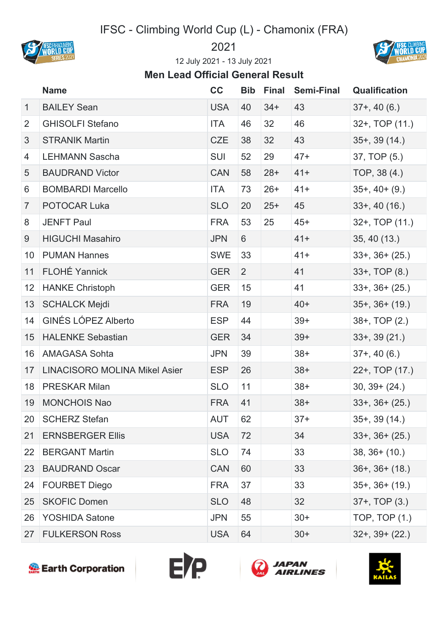## IFSC - Climbing World Cup (L) - Chamonix (FRA)





July 2021 - 13 July 2021

## **Men Lead Official General Result**

|              | <b>Name</b>                          | cc         | <b>Bib</b> | <b>Final</b> | <b>Semi-Final</b> | <b>Qualification</b> |
|--------------|--------------------------------------|------------|------------|--------------|-------------------|----------------------|
| $\mathbf{1}$ | <b>BAILEY Sean</b>                   | <b>USA</b> | 40         | $34+$        | 43                | $37+$ , 40 $(6.)$    |
| 2            | <b>GHISOLFI Stefano</b>              | ITA        | 46         | 32           | 46                | 32+, TOP (11.)       |
| 3            | <b>STRANIK Martin</b>                | <b>CZE</b> | 38         | 32           | 43                | $35+$ , 39 $(14.)$   |
| 4            | <b>LEHMANN Sascha</b>                | <b>SUI</b> | 52         | 29           | $47+$             | 37, TOP (5.)         |
| 5            | <b>BAUDRAND Victor</b>               | <b>CAN</b> | 58         | $28+$        | $41+$             | TOP, 38 (4.)         |
| 6            | <b>BOMBARDI Marcello</b>             | ITA        | 73         | $26+$        | $41+$             | $35+$ , 40+ (9.)     |
| 7            | POTOCAR Luka                         | <b>SLO</b> | 20         | $25+$        | 45                | $33+$ , 40 (16.)     |
| 8            | <b>JENFT Paul</b>                    | <b>FRA</b> | 53         | 25           | $45+$             | 32+, TOP (11.)       |
| 9            | <b>HIGUCHI Masahiro</b>              | <b>JPN</b> | 6          |              | $41+$             | 35, 40 (13.)         |
| 10           | <b>PUMAN Hannes</b>                  | <b>SWE</b> | 33         |              | $41+$             | $33+$ , $36+ (25)$   |
| 11           | <b>FLOHÉ Yannick</b>                 | <b>GER</b> | 2          |              | 41                | $33+$ , TOP $(8.)$   |
| 12           | <b>HANKE Christoph</b>               | <b>GER</b> | 15         |              | 41                | $33+$ , $36+ (25)$   |
| 13           | <b>SCHALCK Mejdi</b>                 | <b>FRA</b> | 19         |              | $40+$             | $35+$ , $36+$ (19.)  |
| 14           | <b>GINÉS LÓPEZ Alberto</b>           | <b>ESP</b> | 44         |              | $39+$             | 38+, TOP (2.)        |
| 15           | <b>HALENKE Sebastian</b>             | <b>GER</b> | 34         |              | $39+$             | $33+$ , $39(21)$     |
| 16           | <b>AMAGASA Sohta</b>                 | <b>JPN</b> | 39         |              | $38+$             | $37+, 40(6.)$        |
| 17           | <b>LINACISORO MOLINA Mikel Asier</b> | <b>ESP</b> | 26         |              | $38+$             | 22+, TOP (17.)       |
| 18           | <b>PRESKAR Milan</b>                 | <b>SLO</b> | 11         |              | $38+$             | $30, 39+ (24.)$      |
| 19           | <b>MONCHOIS Nao</b>                  | <b>FRA</b> | 41         |              | $38+$             | $33+$ , $36+ (25.)$  |
|              | 20   SCHERZ Stefan                   | AUT        | 62         |              | $37+$             | $35+$ , 39 $(14)$    |
| 21           | <b>ERNSBERGER Ellis</b>              | <b>USA</b> | 72         |              | 34                | $33+$ , $36+ (25.)$  |
| 22           | <b>BERGANT Martin</b>                | <b>SLO</b> | 74         |              | 33                | $38, 36+ (10.)$      |
| 23           | <b>BAUDRAND Oscar</b>                | <b>CAN</b> | 60         |              | 33                | $36+$ , $36+$ (18.)  |
| 24           | <b>FOURBET Diego</b>                 | <b>FRA</b> | 37         |              | 33                | $35+$ , $36+$ (19.)  |
| 25           | <b>SKOFIC Domen</b>                  | <b>SLO</b> | 48         |              | 32                | $37+$ , TOP $(3.)$   |
| 26           | <b>YOSHIDA Satone</b>                | <b>JPN</b> | 55         |              | $30+$             | TOP, TOP (1.)        |
| 27           | <b>FULKERSON Ross</b>                | <b>USA</b> | 64         |              | $30+$             | $32+$ , $39+$ (22.)  |







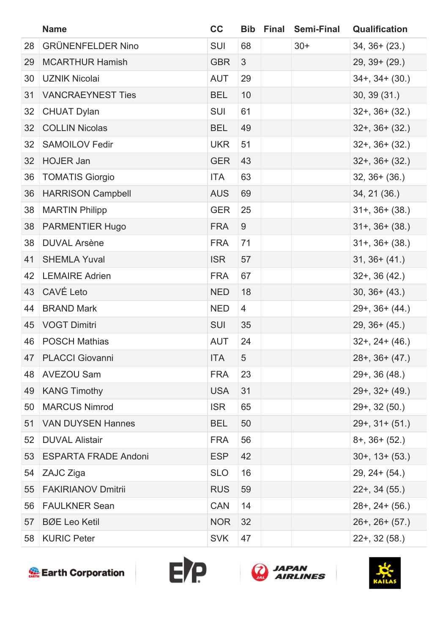|    | <b>Name</b>                 | cc         |    | <b>Bib Final Semi-Final</b> | <b>Qualification</b>  |
|----|-----------------------------|------------|----|-----------------------------|-----------------------|
| 28 | <b>GRÜNENFELDER Nino</b>    | <b>SUI</b> | 68 | $30+$                       | $34, 36+ (23.)$       |
| 29 | <b>MCARTHUR Hamish</b>      | <b>GBR</b> | 3  |                             | $29, 39 + (29.)$      |
| 30 | <b>UZNIK Nicolai</b>        | <b>AUT</b> | 29 |                             | $34+$ , $34+$ (30.)   |
| 31 | <b>VANCRAEYNEST Ties</b>    | <b>BEL</b> | 10 |                             | 30, 39(31)            |
| 32 | <b>CHUAT Dylan</b>          | <b>SUI</b> | 61 |                             | $32+$ , $36+$ (32.)   |
| 32 | <b>COLLIN Nicolas</b>       | <b>BEL</b> | 49 |                             | $32+$ , $36+ (32)$    |
| 32 | <b>SAMOILOV Fedir</b>       | <b>UKR</b> | 51 |                             | $32+$ , $36+$ $(32)$  |
| 32 | <b>HOJER Jan</b>            | <b>GER</b> | 43 |                             | $32+$ , $36+$ $(32)$  |
| 36 | <b>TOMATIS Giorgio</b>      | <b>ITA</b> | 63 |                             | $32, 36+ (36.)$       |
| 36 | <b>HARRISON Campbell</b>    | <b>AUS</b> | 69 |                             | 34, 21 (36.)          |
| 38 | <b>MARTIN Philipp</b>       | <b>GER</b> | 25 |                             | $31+$ , $36+$ (38.)   |
| 38 | PARMENTIER Hugo             | <b>FRA</b> | 9  |                             | $31+$ , $36+$ (38.)   |
| 38 | <b>DUVAL Arsène</b>         | <b>FRA</b> | 71 |                             | $31+$ , $36+$ $(38.)$ |
| 41 | <b>SHEMLA Yuval</b>         | <b>ISR</b> | 57 |                             | $31, 36+ (41.)$       |
| 42 | <b>LEMAIRE Adrien</b>       | <b>FRA</b> | 67 |                             | $32+$ , 36 (42.)      |
| 43 | CAVÉ Leto                   | <b>NED</b> | 18 |                             | $30, 36+ (43.)$       |
| 44 | <b>BRAND Mark</b>           | <b>NED</b> | 4  |                             | $29+$ , $36+ (44.)$   |
| 45 | <b>VOGT Dimitri</b>         | <b>SUI</b> | 35 |                             | $29, 36+ (45.)$       |
| 46 | <b>POSCH Mathias</b>        | <b>AUT</b> | 24 |                             | $32+$ , $24+ (46.)$   |
|    | 47 PLACCI Giovanni          | ITA        | 5  |                             | $28+$ , $36+$ (47.)   |
| 48 | <b>AVEZOU Sam</b>           | <b>FRA</b> | 23 |                             | $29+$ , 36 (48.)      |
| 49 | <b>KANG Timothy</b>         | <b>USA</b> | 31 |                             | $29+$ , 32+ (49.)     |
| 50 | <b>MARCUS Nimrod</b>        | <b>ISR</b> | 65 |                             | $29+$ , 32 (50.)      |
| 51 | <b>VAN DUYSEN Hannes</b>    | <b>BEL</b> | 50 |                             | $29+$ , $31+ (51)$    |
| 52 | <b>DUVAL Alistair</b>       | <b>FRA</b> | 56 |                             | $8+$ , 36+ (52.)      |
| 53 | <b>ESPARTA FRADE Andoni</b> | <b>ESP</b> | 42 |                             | $30+$ , $13+$ $(53.)$ |
| 54 | ZAJC Ziga                   | <b>SLO</b> | 16 |                             | $29, 24 + (54.)$      |
| 55 | <b>FAKIRIANOV Dmitrii</b>   | <b>RUS</b> | 59 |                             | $22+$ , 34 (55.)      |
| 56 | <b>FAULKNER Sean</b>        | <b>CAN</b> | 14 |                             | $28+$ , $24+$ (56.)   |
| 57 | <b>BØE Leo Ketil</b>        | <b>NOR</b> | 32 |                             | $26+$ , $26+$ (57.)   |
| 58 | <b>KURIC Peter</b>          | <b>SVK</b> | 47 |                             | $22+$ , 32 (58.)      |